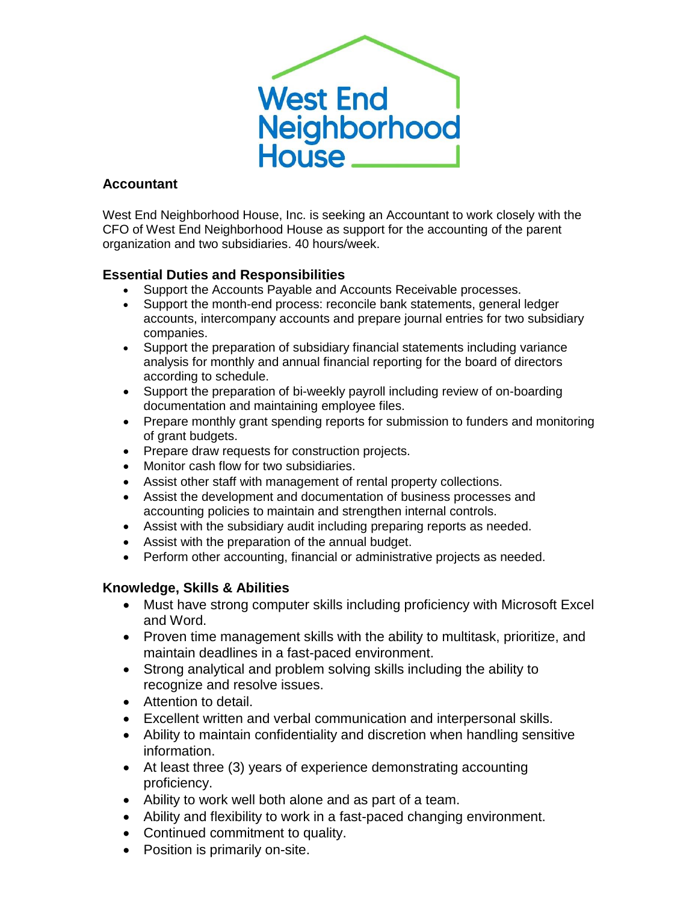

## **Accountant**

West End Neighborhood House, Inc. is seeking an Accountant to work closely with the CFO of West End Neighborhood House as support for the accounting of the parent organization and two subsidiaries. 40 hours/week.

## **Essential Duties and Responsibilities**

- Support the Accounts Payable and Accounts Receivable processes.
- Support the month-end process: reconcile bank statements, general ledger accounts, intercompany accounts and prepare journal entries for two subsidiary companies.
- Support the preparation of subsidiary financial statements including variance analysis for monthly and annual financial reporting for the board of directors according to schedule.
- Support the preparation of bi-weekly payroll including review of on-boarding documentation and maintaining employee files.
- Prepare monthly grant spending reports for submission to funders and monitoring of grant budgets.
- Prepare draw requests for construction projects.
- Monitor cash flow for two subsidiaries.
- Assist other staff with management of rental property collections.
- Assist the development and documentation of business processes and accounting policies to maintain and strengthen internal controls.
- Assist with the subsidiary audit including preparing reports as needed.
- Assist with the preparation of the annual budget.
- Perform other accounting, financial or administrative projects as needed.

## **Knowledge, Skills & Abilities**

- Must have strong computer skills including proficiency with Microsoft Excel and Word.
- Proven time management skills with the ability to multitask, prioritize, and maintain deadlines in a fast-paced environment.
- Strong analytical and problem solving skills including the ability to recognize and resolve issues.
- Attention to detail.
- Excellent written and verbal communication and interpersonal skills.
- Ability to maintain confidentiality and discretion when handling sensitive information.
- At least three (3) years of experience demonstrating accounting proficiency.
- Ability to work well both alone and as part of a team.
- Ability and flexibility to work in a fast-paced changing environment.
- Continued commitment to quality.
- Position is primarily on-site.